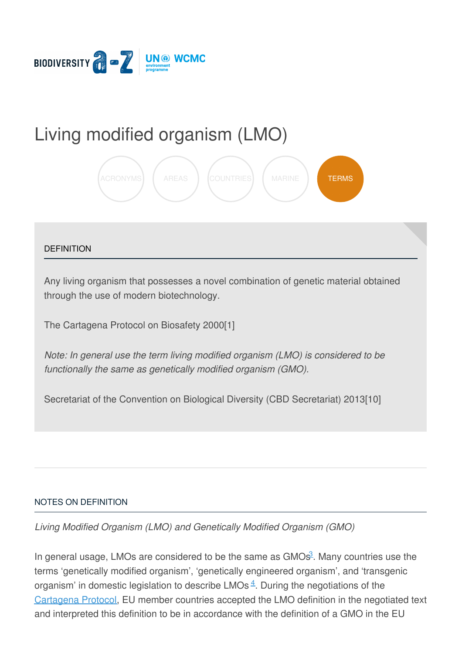

# Living modified [organism](https://biodiversitya-z.org/content/living-modified-organism-lmo) (LMO)



### **DEFINITION**

Any living organism that possesses a novel combination of genetic material obtained through the use of modern biotechnology.

The Cartagena Protocol on Biosafety 2000[1]

*Note: In general use the term living modified organism (LMO) is considered to be functionally the same as genetically modified organism (GMO).*

Secretariat of the Convention on Biological Diversity (CBD Secretariat) 2013[10]

#### NOTES ON [DEFINITION](javascript:void(0))

*Living Modified Organism (LMO) and Genetically Modified Organism (GMO)*

In general usage, LMOs are considered to be [the](file:///tmp/.page-wrap.with-gradient) same as GMOs<sup>[3](#page-3-0)</sup>. Many countries use the terms 'genetically modified organism', 'genetically engineered organism', and 'transgenic organism' in domestic legislation to describe LMOs $4$ . During the negotiations of the [Cartagena](http://biodiversitya-z.org/content/cartagena-protocol) Protocol, EU member countries accepted the LMO definition in the negotiated text and interpreted this definition to be in accordance with the definition of a GMO in the EU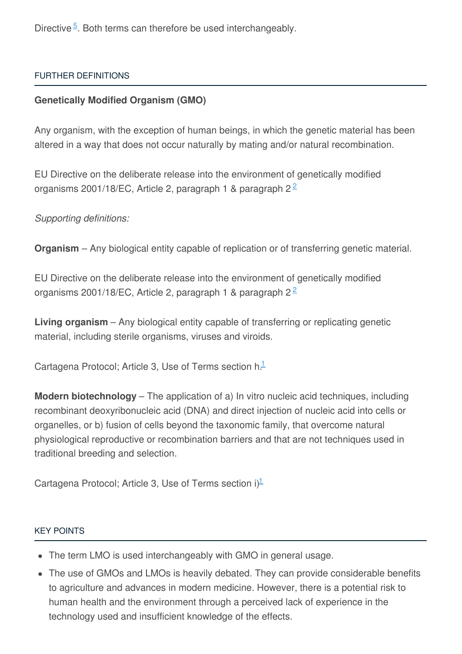Directive<sup>[5](#page-3-2)</sup>. Both terms can therefore be used interchangeably.

# FURTHER [DEFINITIONS](javascript:void(0))

# **Genetically Modified Organism (GMO)**

Any organism, with the exception of human beings, in which the genetic material has been altered in a way that does not occur naturally by mating and/or natural recombination.

EU Directive on the deliberate release into the environment of genetically modified organisms [2](#page-3-3)001/18/EC, Article 2, paragraph 1 & paragraph 2 $\frac{2}{3}$ 

*Supporting definitions:*

**Organism** – Any biological entity capable of replication or of transferring genetic material.

EU Directive on the deliberate release into the environment of genetically modified organisms [2](#page-3-3)001/18/EC, Article 2, paragraph 1 & paragraph 2 $2$ 

**Living organism** – Any biological entity capable of transferring or replicating genetic material, including sterile organisms, viruses and viroids.

Cartagena Protocol; Article 3, Use of Terms section h.<sup>[1](#page-3-4)</sup>

**Modern biotechnology** – The application of a) In vitro nucleic acid techniques, including recombinant deoxyribonucleic acid (DNA) and direct injection of nucleic acid into cells or organelles, or b) fusion of cells beyond the taxonomic family, that overcome natural physiological reproductive or recombination barriers and that are not techniques used in traditional breeding and selection.

Cartagena Protocol; Article 3, Use of Terms section i)<sup>[1](#page-3-4)</sup>

#### KEY [POINTS](javascript:void(0))

- The term LMO is used interchangeably with GMO in general usage.
- The use of GMOs and LMOs is heavily debated. They can provide considerable benefits to agriculture and advances in modern medicine. However, there is a potential risk to human health and the environment through a perceived lack of experience in the technology used and insufficient knowledge of the effects.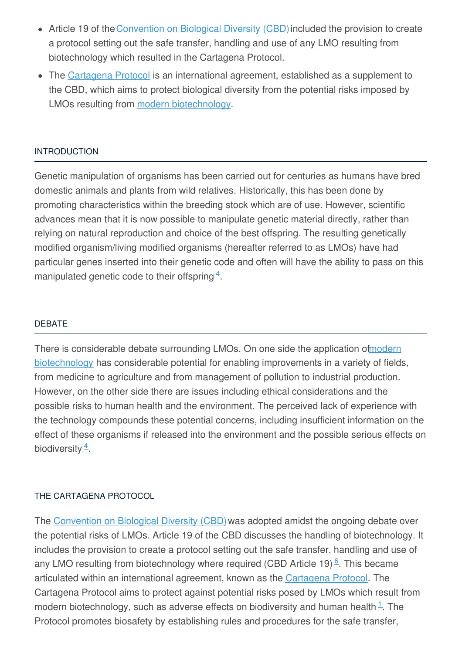- Article 19 of the [Convention](http://biodiversitya-z.org/content/convention-on-biological-diversity-cbd) on Biological Diversity (CBD) included the provision to create a protocol setting out the safe transfer, handling and use of any LMO resulting from biotechnology which resulted in the Cartagena Protocol.
- The [Cartagena](http://biodiversitya-z.org/content/cartagena-protocol) Protocol is an international agreement, established as a supplement to the CBD, which aims to protect biological diversity from the potential risks imposed by LMOs resulting from modern [biotechnology](http://biodiversitya-z.org/content/biotechnology-modern).

## [INTRODUCTION](javascript:void(0))

Genetic manipulation of organisms has been carried out for centuries as humans have bred domestic animals and plants from wild relatives. Historically, this has been done by promoting characteristics within the breeding stock which are of use. However, scientific advances mean that it is now possible to manipulate genetic material directly, rather than relying on natural reproduction and choice of the best offspring. The resulting genetically modified organism/living modified organisms (hereafter referred to as LMOs) have had particular genes inserted into their genetic code and often will have the ability to pass on this manipulated genetic code to their offspring  $4$ .

## [DEBATE](javascript:void(0))

There is considerable debate surrounding LMOs. On one side the application of modern biotechnology has considerable potential for enabling [improvements](http://biodiversitya-z.org/content/biotechnology-modern) in a variety of fields, from medicine to agriculture and from management of pollution to industrial production. However, on the other side there are issues including ethical considerations and the possible risks to human health and the environment. The perceived lack of experience with the technology compounds these potential concerns, including insufficient information on the effect of these organisms if released into the environment and the possible serious effects on biodiversity  $\frac{4}{3}$  $\frac{4}{3}$  $\frac{4}{3}$ .

#### THE [CARTAGENA](javascript:void(0)) PROTOCOL

The [Convention](http://biodiversitya-z.org/content/convention-on-biological-diversity-cbd) on Biological Diversity (CBD) was adopted amidst the ongoing debate over the potential risks of LMOs. Article 19 of the CBD discusses the handling of biotechnology. It includes the provision to create a protocol setting out the safe transfer, handling and use of any LMO resulting from biotechnology where required (CBD Article 19) $6$ . This became articulated within an international agreement, known as the [Cartagena](http://biodiversitya-z.org/content/cartagena-protocol) Protocol. The Cartagena Protocol aims to protect against potential risks posed by LMOs which result from modern biotechnology, such as adverse effects on biodiversity and human health<sup>[1](#page-3-4)</sup>. The Protocol promotes biosafety by establishing rules and procedures for the safe transfer,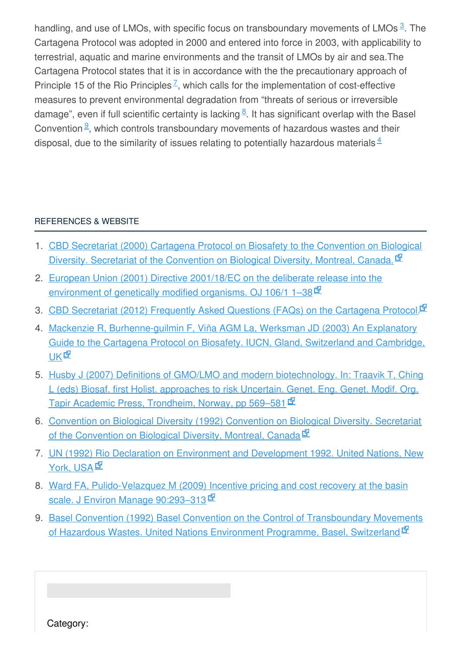handling, and use of LMOs, with specific focus on transboundary movements of LMOs<sup>[3](#page-3-0)</sup>. The Cartagena Protocol was adopted in 2000 and entered into force in 2003, with applicability to terrestrial, aquatic and marine environments and the transit of LMOs by air and sea.The Cartagena Protocol states that it is in accordance with the the precautionary approach of Principle 15 of the Rio Principles<sup> $Z$ </sup>, which calls for the implementation of cost-effective measures to prevent environmental degradation from "threats of serious or irreversible damage", even if full scientific certainty is lacking <sup>[8](#page-3-7)</sup>. It has significant overlap with the Basel Convention $\frac{9}{5}$  $\frac{9}{5}$  $\frac{9}{5}$ , which controls transboundary movements of hazardous wastes and their disposal, due to the similarity of issues relating to potentially hazardous materials $4\overline{ }$  $4\overline{ }$ 

# [REFERENCES](javascript:void(0)) & WEBSITE

- <span id="page-3-4"></span>1. CBD Secretariat (2000) Cartagena Protocol on Biosafety to the Convention on Biological Diversity. Secretariat of the [Convention](http://bch.cbd.int/protocol/) on Biological Diversity, Montreal, Canada.
- <span id="page-3-3"></span>2. European Union (2001) Directive 2001/18/EC on the deliberate release into the [environment](http://eur-lex.europa.eu/legal-content/en/ALL/?uri=CELEX:32001L0018) of genetically modified organisms. OJ 106/1 1–38
- <span id="page-3-0"></span>3. CBD [Secretariat](http://bch.cbd.int/protocol/cpb_faq.shtml#faq3) (2012) Frequently Asked Questions (FAQs) on the Cartagena Protocol.<sup>EN</sup>
- <span id="page-3-1"></span>4. Mackenzie R, [Burhenne-guilmin](http://pdf.wri.org/biosafety_guidefront.pdf) F, Viña AGM La, Werksman JD (2003) An Explanatory Guide to the Cartagena Protocol on Biosafety. IUCN, Gland, Switzerland and Cambridge, **UK<sub>E</sub>**
- <span id="page-3-2"></span>5. Husby J (2007) Definitions of GMO/LMO and modern [biotechnology.](http://genok.no/wp-content/uploads/2013/04/Chapter-23.pdf) In: Traavik T, Ching L (eds) Biosaf. first Holist. approaches to risk Uncertain. Genet. Eng. Genet. Modif. Org. Tapir Academic Press, Trondheim, Norway, pp 569-581
- <span id="page-3-5"></span>6. Convention on Biological Diversity (1992) [Convention](http://www.cbd.int/doc/legal/cbd-en.pdf) on Biological Diversity. Secretariat of the Convention on Biological Diversity, Montreal, Canada  $\Phi$
- <span id="page-3-6"></span>7. UN (1992) Rio Declaration on Environment and [Development](http://www.un.org/documents/ga/conf151/aconf15126-1annex1.htm) 1992. United Nations, New York, USA<sup>ER</sup>
- <span id="page-3-7"></span>8. Ward FA, [Pulido-Velazquez](http://agecon.nmsu.edu/fward/water/incentive pricing_feb_22_2008.pdf) M (2009) Incentive pricing and cost recovery at the basin scale. J Environ Manage 90:293-313
- <span id="page-3-8"></span>9. Basel Convention (1992) Basel Convention on the Control of [Transboundary](http://www.basel.int/Portals/4/Basel Convention/docs/text/BaselConventionText-e.pdf) Movements of Hazardous Wastes. United Nations Environment Programme, Basel, Switzerland<sup>In</sup>

Category: